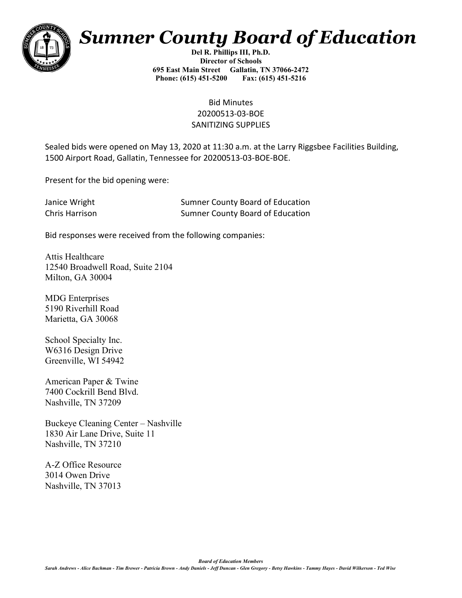

# *Sumner County Board of Education*

**Del R. Phillips III, Ph.D. Director of Schools 695 East Main Street Gallatin, TN 37066-2472 Phone: (615) 451-5200 Fax: (615) 451-5216** 

> Bid Minutes 20200513-03-BOE SANITIZING SUPPLIES

Sealed bids were opened on May 13, 2020 at 11:30 a.m. at the Larry Riggsbee Facilities Building, 1500 Airport Road, Gallatin, Tennessee for 20200513-03-BOE-BOE.

Present for the bid opening were:

| Janice Wright  | <b>Sumner County Board of Education</b> |
|----------------|-----------------------------------------|
| Chris Harrison | <b>Sumner County Board of Education</b> |

Bid responses were received from the following companies:

Attis Healthcare 12540 Broadwell Road, Suite 2104 Milton, GA 30004

MDG Enterprises 5190 Riverhill Road Marietta, GA 30068

School Specialty Inc. W6316 Design Drive Greenville, WI 54942

American Paper & Twine 7400 Cockrill Bend Blvd. Nashville, TN 37209

Buckeye Cleaning Center – Nashville 1830 Air Lane Drive, Suite 11 Nashville, TN 37210

A-Z Office Resource 3014 Owen Drive Nashville, TN 37013